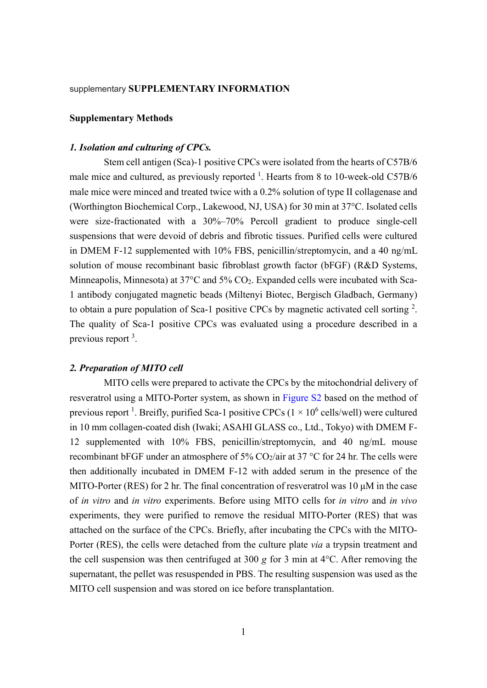#### supplementary SUPPLEMENTARY INFORMATION

#### Supplementary Methods

## 1. Isolation and culturing of CPCs.

Stem cell antigen (Sca)-1 positive CPCs were isolated from the hearts of C57B/6 male mice and cultured, as previously reported  $^1$ . Hearts from 8 to 10-week-old C57B/6 male mice were minced and treated twice with a 0.2% solution of type II collagenase and (Worthington Biochemical Corp., Lakewood, NJ, USA) for 30 min at 37°C. Isolated cells were size-fractionated with a 30%–70% Percoll gradient to produce single-cell suspensions that were devoid of debris and fibrotic tissues. Purified cells were cultured in DMEM F-12 supplemented with 10% FBS, penicillin/streptomycin, and a 40 ng/mL solution of mouse recombinant basic fibroblast growth factor (bFGF) (R&D Systems, Minneapolis, Minnesota) at 37°C and 5% CO<sub>2</sub>. Expanded cells were incubated with Sca-1 antibody conjugated magnetic beads (Miltenyi Biotec, Bergisch Gladbach, Germany) to obtain a pure population of Sca-1 positive CPCs by magnetic activated cell sorting  $2$ . The quality of Sca-1 positive CPCs was evaluated using a procedure described in a previous report <sup>3</sup>.

#### 2. Preparation of MITO cell

MITO cells were prepared to activate the CPCs by the mitochondrial delivery of resveratrol using a MITO-Porter system, as shown in Figure S2 based on the method of previous report <sup>1</sup>. Breifly, purified Sca-1 positive CPCs ( $1 \times 10^6$  cells/well) were cultured in 10 mm collagen-coated dish (Iwaki; ASAHI GLASS co., Ltd., Tokyo) with DMEM F-12 supplemented with 10% FBS, penicillin/streptomycin, and 40 ng/mL mouse recombinant bFGF under an atmosphere of 5%  $CO_2/a$  ir at 37 °C for 24 hr. The cells were then additionally incubated in DMEM F-12 with added serum in the presence of the MITO-Porter (RES) for 2 hr. The final concentration of resveratrol was 10 μM in the case of in vitro and in vitro experiments. Before using MITO cells for in vitro and in vivo experiments, they were purified to remove the residual MITO-Porter (RES) that was attached on the surface of the CPCs. Briefly, after incubating the CPCs with the MITO-Porter (RES), the cells were detached from the culture plate *via* a trypsin treatment and the cell suspension was then centrifuged at 300 g for 3 min at  $4^{\circ}$ C. After removing the supernatant, the pellet was resuspended in PBS. The resulting suspension was used as the MITO cell suspension and was stored on ice before transplantation.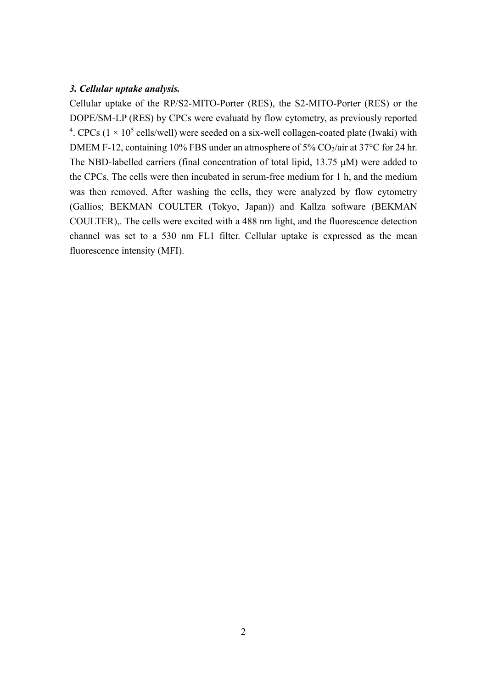# 3. Cellular uptake analysis.

Cellular uptake of the RP/S2-MITO-Porter (RES), the S2-MITO-Porter (RES) or the DOPE/SM-LP (RES) by CPCs were evaluatd by flow cytometry, as previously reported <sup>4</sup>. CPCs ( $1 \times 10^5$  cells/well) were seeded on a six-well collagen-coated plate (Iwaki) with DMEM F-12, containing 10% FBS under an atmosphere of 5%  $CO<sub>2</sub>/air$  at 37°C for 24 hr. The NBD-labelled carriers (final concentration of total lipid, 13.75 μM) were added to the CPCs. The cells were then incubated in serum-free medium for 1 h, and the medium was then removed. After washing the cells, they were analyzed by flow cytometry (Gallios; BEKMAN COULTER (Tokyo, Japan)) and Kallza software (BEKMAN COULTER),. The cells were excited with a 488 nm light, and the fluorescence detection channel was set to a 530 nm FL1 filter. Cellular uptake is expressed as the mean fluorescence intensity (MFI).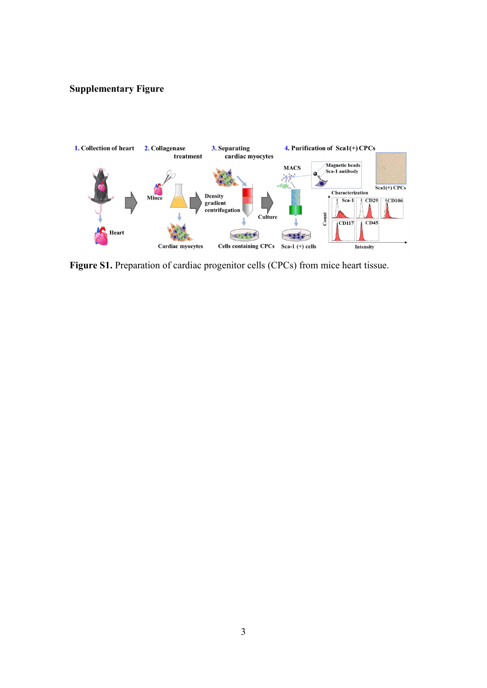# Supplementary Figure



Figure S1. Preparation of cardiac progenitor cells (CPCs) from mice heart tissue.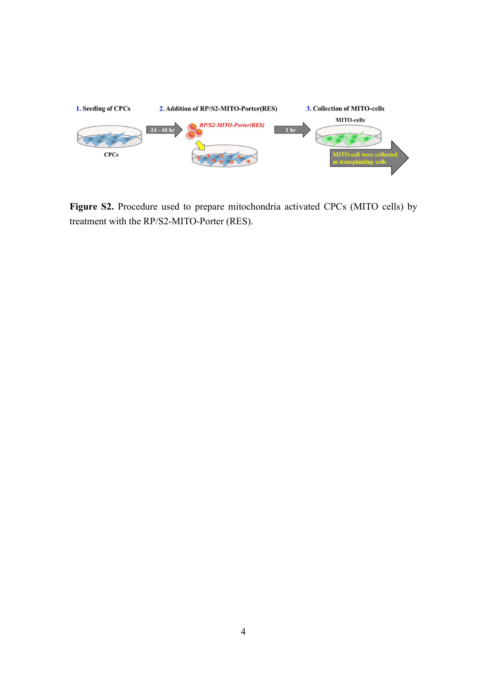

Figure S2. Procedure used to prepare mitochondria activated CPCs (MITO cells) by treatment with the RP/S2-MITO-Porter (RES).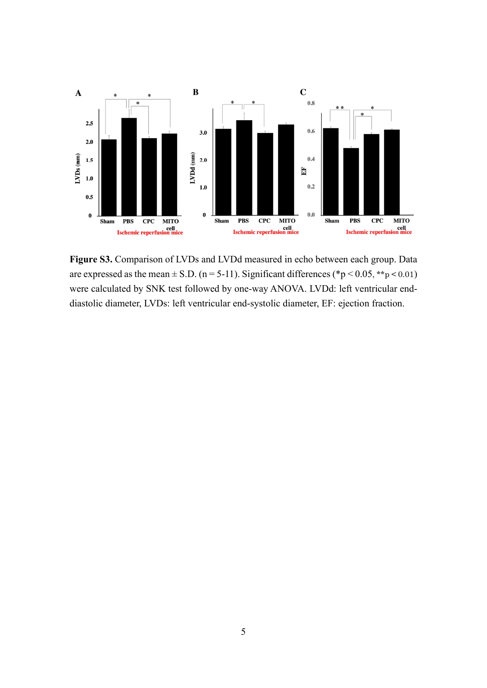

Figure S3. Comparison of LVDs and LVDd measured in echo between each group. Data are expressed as the mean  $\pm$  S.D. (n = 5-11). Significant differences (\*p < 0.05, \*\*p < 0.01) were calculated by SNK test followed by one-way ANOVA. LVDd: left ventricular enddiastolic diameter, LVDs: left ventricular end-systolic diameter, EF: ejection fraction.